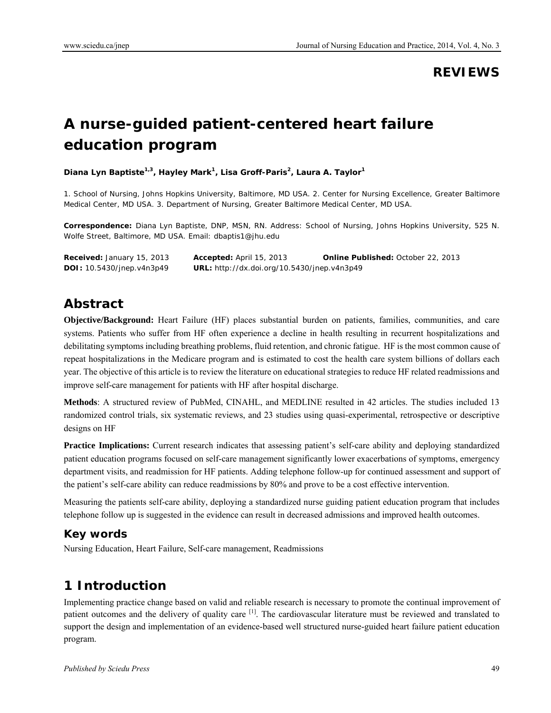# **REVIEWS**

# **A nurse-guided patient-centered heart failure education program**

**Diana Lyn Baptiste1,3, Hayley Mark1 , Lisa Groff-Paris2 , Laura A. Taylor<sup>1</sup>**

1. School of Nursing, Johns Hopkins University, Baltimore, MD USA. 2. Center for Nursing Excellence, Greater Baltimore Medical Center, MD USA. 3. Department of Nursing, Greater Baltimore Medical Center, MD USA.

**Correspondence:** Diana Lyn Baptiste, DNP, MSN, RN. Address: School of Nursing, Johns Hopkins University, 525 N. Wolfe Street, Baltimore, MD USA. Email: dbaptis1@jhu.edu

| <b>Received:</b> January 15, 2013 | <b>Accepted:</b> April 15, 2013             | <b>Online Published: October 22, 2013</b> |
|-----------------------------------|---------------------------------------------|-------------------------------------------|
| <b>DOI:</b> 10.5430/jnep.v4n3p49  | URL: http://dx.doi.org/10.5430/jnep.v4n3p49 |                                           |

# **Abstract**

**Objective/Background:** Heart Failure (HF) places substantial burden on patients, families, communities, and care systems. Patients who suffer from HF often experience a decline in health resulting in recurrent hospitalizations and debilitating symptoms including breathing problems, fluid retention, and chronic fatigue. HF is the most common cause of repeat hospitalizations in the Medicare program and is estimated to cost the health care system billions of dollars each year. The objective of this article is to review the literature on educational strategies to reduce HF related readmissions and improve self-care management for patients with HF after hospital discharge.

**Methods**: A structured review of PubMed, CINAHL, and MEDLINE resulted in 42 articles. The studies included 13 randomized control trials, six systematic reviews, and 23 studies using quasi-experimental, retrospective or descriptive designs on HF

**Practice Implications:** Current research indicates that assessing patient's self-care ability and deploying standardized patient education programs focused on self-care management significantly lower exacerbations of symptoms, emergency department visits, and readmission for HF patients. Adding telephone follow-up for continued assessment and support of the patient's self-care ability can reduce readmissions by 80% and prove to be a cost effective intervention.

Measuring the patients self-care ability, deploying a standardized nurse guiding patient education program that includes telephone follow up is suggested in the evidence can result in decreased admissions and improved health outcomes.

## **Key words**

Nursing Education, Heart Failure, Self-care management, Readmissions

# **1 Introduction**

Implementing practice change based on valid and reliable research is necessary to promote the continual improvement of patient outcomes and the delivery of quality care <sup>[1]</sup>. The cardiovascular literature must be reviewed and translated to support the design and implementation of an evidence-based well structured nurse-guided heart failure patient education program.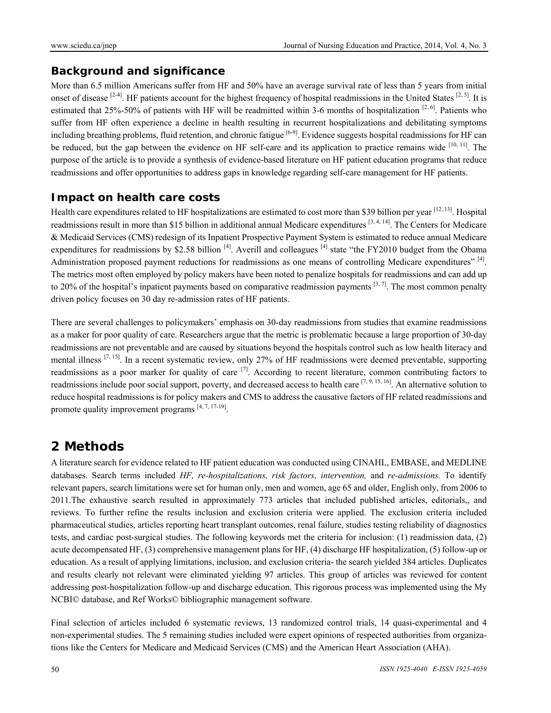### **Background and significance**

More than 6.5 million Americans suffer from HF and 50% have an average survival rate of less than 5 years from initial onset of disease  $[2-4]$ . HF patients account for the highest frequency of hospital readmissions in the United States  $[2, 5]$ . It is estimated that 25%-50% of patients with HF will be readmitted within 3-6 months of hospitalization  $[2, 6]$ . Patients who suffer from HF often experience a decline in health resulting in recurrent hospitalizations and debilitating symptoms including breathing problems, fluid retention, and chronic fatigue  $[6-9]$ . Evidence suggests hospital readmissions for HF can be reduced, but the gap between the evidence on HF self-care and its application to practice remains wide  $[10, 11]$ . The purpose of the article is to provide a synthesis of evidence-based literature on HF patient education programs that reduce readmissions and offer opportunities to address gaps in knowledge regarding self-care management for HF patients.

#### **Impact on health care costs**

Health care expenditures related to HF hospitalizations are estimated to cost more than \$39 billion per year [12, 13]. Hospital readmissions result in more than \$15 billion in additional annual Medicare expenditures [3, 4, 14]. The Centers for Medicare & Medicaid Services (CMS) redesign of its Inpatient Prospective Payment System is estimated to reduce annual Medicare expenditures for readmissions by \$2.58 billion  $^{[4]}$ . Averill and colleagues  $^{[4]}$  state "the FY2010 budget from the Obama Administration proposed payment reductions for readmissions as one means of controlling Medicare expenditures"  $^{[4]}$ . The metrics most often employed by policy makers have been noted to penalize hospitals for readmissions and can add up to 20% of the hospital's inpatient payments based on comparative readmission payments  $[3, 7]$ . The most common penalty driven policy focuses on 30 day re-admission rates of HF patients.

There are several challenges to policymakers' emphasis on 30-day readmissions from studies that examine readmissions as a maker for poor quality of care. Researchers argue that the metric is problematic because a large proportion of 30-day readmissions are not preventable and are caused by situations beyond the hospitals control such as low health literacy and mental illness  $[7, 15]$ . In a recent systematic review, only 27% of HF readmissions were deemed preventable, supporting readmissions as a poor marker for quality of care <sup>[7]</sup>. According to recent literature, common contributing factors to readmissions include poor social support, poverty, and decreased access to health care [7, 9, 15, 16]. An alternative solution to reduce hospital readmissions is for policy makers and CMS to address the causative factors of HF related readmissions and promote quality improvement programs  $[4, 7, 17, 19]$ .

# **2 Methods**

A literature search for evidence related to HF patient education was conducted using CINAHL, EMBASE, and MEDLINE databases. Search terms included *HF, re-hospitalizations, risk factors, intervention,* and *re-admissions.* To identify relevant papers, search limitations were set for human only, men and women, age 65 and older, English only, from 2006 to 2011.The exhaustive search resulted in approximately 773 articles that included published articles, editorials,, and reviews. To further refine the results inclusion and exclusion criteria were applied. The exclusion criteria included pharmaceutical studies, articles reporting heart transplant outcomes, renal failure, studies testing reliability of diagnostics tests, and cardiac post-surgical studies. The following keywords met the criteria for inclusion: (1) readmission data, (2) acute decompensated HF, (3) comprehensive management plans for HF, (4) discharge HF hospitalization, (5) follow-up or education. As a result of applying limitations, inclusion, and exclusion criteria- the search yielded 384 articles. Duplicates and results clearly not relevant were eliminated yielding 97 articles. This group of articles was reviewed for content addressing post-hospitalization follow-up and discharge education. This rigorous process was implemented using the My NCBI© database, and Ref Works© bibliographic management software.

Final selection of articles included 6 systematic reviews, 13 randomized control trials, 14 quasi-experimental and 4 non-experimental studies. The 5 remaining studies included were expert opinions of respected authorities from organizations like the Centers for Medicare and Medicaid Services (CMS) and the American Heart Association (AHA).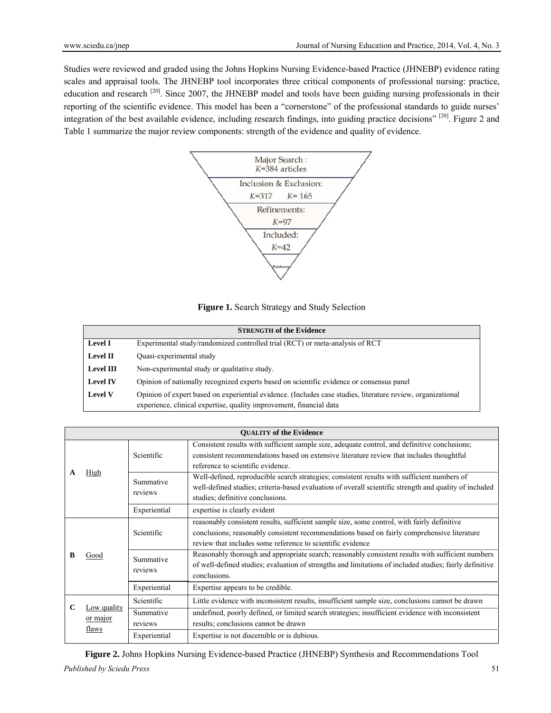Studies were reviewed and graded using the Johns Hopkins Nursing Evidence-based Practice (JHNEBP) evidence rating scales and appraisal tools. The JHNEBP tool incorporates three critical components of professional nursing: practice, education and research <sup>[20]</sup>. Since 2007, the JHNEBP model and tools have been guiding nursing professionals in their reporting of the scientific evidence. This model has been a "cornerstone" of the professional standards to guide nurses' integration of the best available evidence, including research findings, into guiding practice decisions" [20]. Figure 2 and Table 1 summarize the major review components: strength of the evidence and quality of evidence.



#### **Figure 1.** Search Strategy and Study Selection

| <b>STRENGTH of the Evidence</b> |                                                                                                                                                                                    |  |  |
|---------------------------------|------------------------------------------------------------------------------------------------------------------------------------------------------------------------------------|--|--|
| <b>Level I</b>                  | Experimental study/randomized controlled trial (RCT) or meta-analysis of RCT                                                                                                       |  |  |
| <b>Level II</b>                 | Quasi-experimental study                                                                                                                                                           |  |  |
| <b>Level III</b>                | Non-experimental study or qualitative study.                                                                                                                                       |  |  |
| <b>Level IV</b>                 | Opinion of nationally recognized experts based on scientific evidence or consensus panel                                                                                           |  |  |
| <b>Level V</b>                  | Opinion of expert based on experiential evidence. (Includes case studies, literature review, organizational<br>experience, clinical expertise, quality improvement, financial data |  |  |

| <b>OUALITY of the Evidence</b> |             |                      |                                                                                                                                                                                                                                                          |  |  |
|--------------------------------|-------------|----------------------|----------------------------------------------------------------------------------------------------------------------------------------------------------------------------------------------------------------------------------------------------------|--|--|
| A                              |             | Scientific           | Consistent results with sufficient sample size, adequate control, and definitive conclusions;<br>consistent recommendations based on extensive literature review that includes thoughtful<br>reference to scientific evidence.                           |  |  |
|                                | High        | Summative<br>reviews | Well-defined, reproducible search strategies; consistent results with sufficient numbers of<br>well-defined studies; criteria-based evaluation of overall scientific strength and quality of included<br>studies; definitive conclusions.                |  |  |
|                                |             | Experiential         | expertise is clearly evident                                                                                                                                                                                                                             |  |  |
| R                              |             | Scientific           | reasonably consistent results, sufficient sample size, some control, with fairly definitive<br>conclusions; reasonably consistent recommendations based on fairly comprehensive literature<br>review that includes some reference to scientific evidence |  |  |
|                                | Good        | Summative<br>reviews | Reasonably thorough and appropriate search; reasonably consistent results with sufficient numbers<br>of well-defined studies; evaluation of strengths and limitations of included studies; fairly definitive<br>conclusions.                             |  |  |
|                                |             | Experiential         | Expertise appears to be credible.                                                                                                                                                                                                                        |  |  |
| C<br>or major<br>flaws         | Low quality | Scientific           | Little evidence with inconsistent results, insufficient sample size, conclusions cannot be drawn                                                                                                                                                         |  |  |
|                                |             | Summative<br>reviews | undefined, poorly defined, or limited search strategies; insufficient evidence with inconsistent<br>results; conclusions cannot be drawn                                                                                                                 |  |  |
|                                |             | Experiential         | Expertise is not discernible or is dubious.                                                                                                                                                                                                              |  |  |

**Figure 2.** Johns Hopkins Nursing Evidence-based Practice (JHNEBP) Synthesis and Recommendations Tool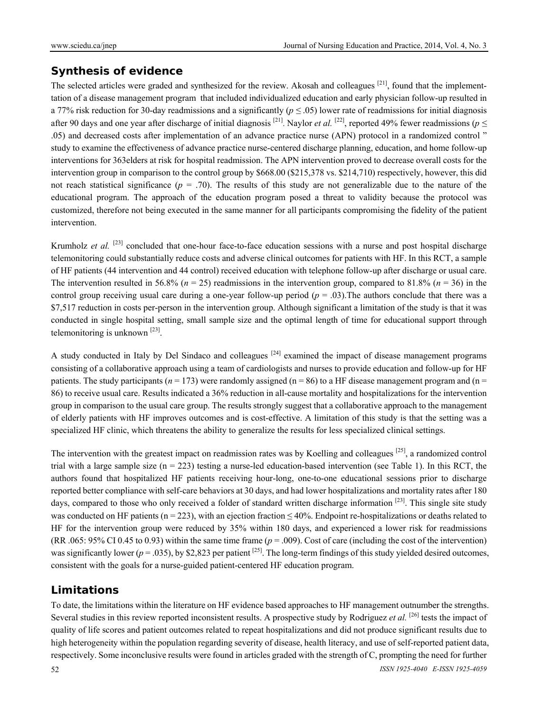### **Synthesis of evidence**

The selected articles were graded and synthesized for the review. Akosah and colleagues  $[21]$ , found that the implementtation of a disease management program that included individualized education and early physician follow-up resulted in a 77% risk reduction for 30-day readmissions and a significantly ( $p \le 0.05$ ) lower rate of readmissions for initial diagnosis after 90 days and one year after discharge of initial diagnosis <sup>[21]</sup>. Naylor *et al.* <sup>[22]</sup>, reported 49% fewer readmissions ( $p \le$ .05) and decreased costs after implementation of an advance practice nurse (APN) protocol in a randomized control " study to examine the effectiveness of advance practice nurse-centered discharge planning, education, and home follow-up interventions for 363elders at risk for hospital readmission. The APN intervention proved to decrease overall costs for the intervention group in comparison to the control group by \$668.00 (\$215,378 vs. \$214,710) respectively, however, this did not reach statistical significance  $(p = .70)$ . The results of this study are not generalizable due to the nature of the educational program. The approach of the education program posed a threat to validity because the protocol was customized, therefore not being executed in the same manner for all participants compromising the fidelity of the patient intervention.

Krumholz *et al.* <sup>[23]</sup> concluded that one-hour face-to-face education sessions with a nurse and post hospital discharge telemonitoring could substantially reduce costs and adverse clinical outcomes for patients with HF. In this RCT, a sample of HF patients (44 intervention and 44 control) received education with telephone follow-up after discharge or usual care. The intervention resulted in 56.8% ( $n = 25$ ) readmissions in the intervention group, compared to 81.8% ( $n = 36$ ) in the control group receiving usual care during a one-year follow-up period  $(p = .03)$ . The authors conclude that there was a \$7,517 reduction in costs per-person in the intervention group. Although significant a limitation of the study is that it was conducted in single hospital setting, small sample size and the optimal length of time for educational support through telemonitoring is unknown [23].

A study conducted in Italy by Del Sindaco and colleagues  $[24]$  examined the impact of disease management programs consisting of a collaborative approach using a team of cardiologists and nurses to provide education and follow-up for HF patients. The study participants ( $n = 173$ ) were randomly assigned ( $n = 86$ ) to a HF disease management program and ( $n =$ 86) to receive usual care. Results indicated a 36% reduction in all-cause mortality and hospitalizations for the intervention group in comparison to the usual care group. The results strongly suggest that a collaborative approach to the management of elderly patients with HF improves outcomes and is cost-effective. A limitation of this study is that the setting was a specialized HF clinic, which threatens the ability to generalize the results for less specialized clinical settings.

The intervention with the greatest impact on readmission rates was by Koelling and colleagues [25], a randomized control trial with a large sample size  $(n = 223)$  testing a nurse-led education-based intervention (see Table 1). In this RCT, the authors found that hospitalized HF patients receiving hour-long, one-to-one educational sessions prior to discharge reported better compliance with self-care behaviors at 30 days, and had lower hospitalizations and mortality rates after 180 days, compared to those who only received a folder of standard written discharge information  $[23]$ . This single site study was conducted on HF patients (n = 223), with an ejection fraction  $\leq 40\%$ . Endpoint re-hospitalizations or deaths related to HF for the intervention group were reduced by 35% within 180 days, and experienced a lower risk for readmissions  $(RR. 065: 95\% \text{ CI } 0.45 \text{ to } 0.93)$  within the same time frame  $(p = .009)$ . Cost of care (including the cost of the intervention) was significantly lower ( $p = .035$ ), by \$2,823 per patient <sup>[25]</sup>. The long-term findings of this study yielded desired outcomes, consistent with the goals for a nurse-guided patient-centered HF education program.

### **Limitations**

To date, the limitations within the literature on HF evidence based approaches to HF management outnumber the strengths. Several studies in this review reported inconsistent results. A prospective study by Rodriguez *et al.* [26] tests the impact of quality of life scores and patient outcomes related to repeat hospitalizations and did not produce significant results due to high heterogeneity within the population regarding severity of disease, health literacy, and use of self-reported patient data, respectively. Some inconclusive results were found in articles graded with the strength of C, prompting the need for further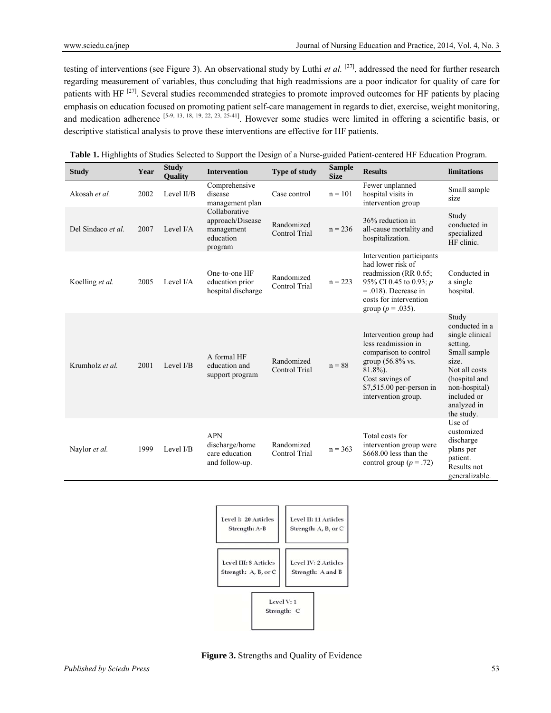testing of interventions (see Figure 3). An observational study by Luthi *et al.* [27], addressed the need for further research regarding measurement of variables, thus concluding that high readmissions are a poor indicator for quality of care for patients with HF <sup>[27]</sup>. Several studies recommended strategies to promote improved outcomes for HF patients by placing emphasis on education focused on promoting patient self-care management in regards to diet, exercise, weight monitoring, and medication adherence [5-9, 13, 18, 19, 22, 23, 25-41]. However some studies were limited in offering a scientific basis, or descriptive statistical analysis to prove these interventions are effective for HF patients.

| <b>Study</b>       | Year | <b>Study</b><br><b>Quality</b> | <b>Intervention</b>                                                     | <b>Type of study</b>               | <b>Sample</b><br><b>Size</b> | <b>Results</b>                                                                                                                                                                     | limitations                                                                                                                                                                    |
|--------------------|------|--------------------------------|-------------------------------------------------------------------------|------------------------------------|------------------------------|------------------------------------------------------------------------------------------------------------------------------------------------------------------------------------|--------------------------------------------------------------------------------------------------------------------------------------------------------------------------------|
| Akosah et al.      | 2002 | Level II/B                     | Comprehensive<br>disease<br>management plan                             | Case control                       | $n = 101$                    | Fewer unplanned<br>hospital visits in<br>intervention group                                                                                                                        | Small sample<br>size                                                                                                                                                           |
| Del Sindaco et al. | 2007 | Level I/A                      | Collaborative<br>approach/Disease<br>management<br>education<br>program | Randomized<br><b>Control Trial</b> | $n = 236$                    | 36% reduction in<br>all-cause mortality and<br>hospitalization.                                                                                                                    | Study<br>conducted in<br>specialized<br>HF clinic.                                                                                                                             |
| Koelling et al.    | 2005 | Level $I/A$                    | One-to-one HF<br>education prior<br>hospital discharge                  | Randomized<br><b>Control Trial</b> | $n = 223$                    | Intervention participants<br>had lower risk of<br>readmission (RR 0.65;<br>95% CI 0.45 to 0.93; p<br>$= .018$ ). Decrease in<br>costs for intervention<br>group ( $p = .035$ ).    | Conducted in<br>a single<br>hospital.                                                                                                                                          |
| Krumholz et al.    | 2001 | Level I/B                      | A formal HF<br>education and<br>support program                         | Randomized<br>Control Trial        | $n = 88$                     | Intervention group had<br>less readmission in<br>comparison to control<br>group $(56.8\%$ vs.<br>$81.8\%$ ).<br>Cost savings of<br>\$7,515.00 per-person in<br>intervention group. | Study<br>conducted in a<br>single clinical<br>setting.<br>Small sample<br>size.<br>Not all costs<br>(hospital and<br>non-hospital)<br>included or<br>analyzed in<br>the study. |
| Naylor et al.      | 1999 | Level I/B                      | <b>APN</b><br>discharge/home<br>care education<br>and follow-up.        | Randomized<br>Control Trial        | $n = 363$                    | Total costs for<br>intervention group were<br>$$668.00$ less than the<br>control group ( $p = .72$ )                                                                               | Use of<br>customized<br>discharge<br>plans per<br>patient.<br>Results not<br>generalizable.                                                                                    |

**Table 1.** Highlights of Studies Selected to Support the Design of a Nurse-guided Patient-centered HF Education Program.



**Figure 3.** Strengths and Quality of Evidence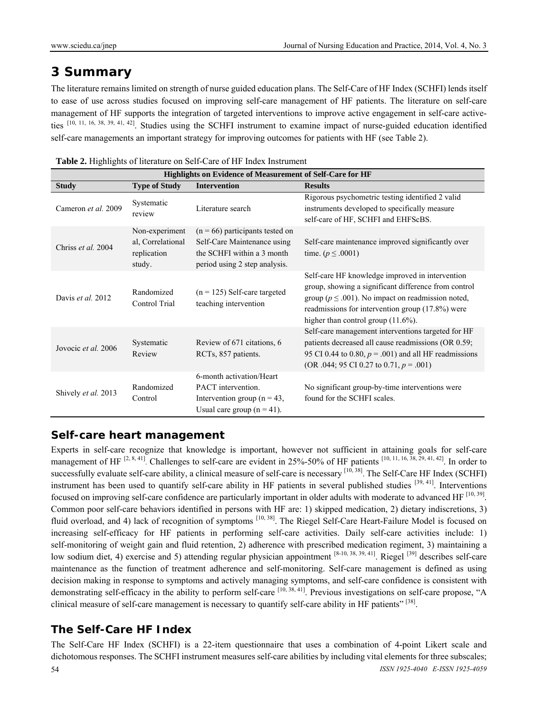# **3 Summary**

The literature remains limited on strength of nurse guided education plans. The Self-Care of HF Index (SCHFI) lends itself to ease of use across studies focused on improving self-care management of HF patients. The literature on self-care management of HF supports the integration of targeted interventions to improve active engagement in self-care activeties [10, 11, 16, 38, 39, 41, 42]. Studies using the SCHFI instrument to examine impact of nurse-guided education identified self-care managements an important strategy for improving outcomes for patients with HF (see Table 2).

| Highlights on Evidence of Measurement of Self-Care for HF |                                                              |                                                                                                                                 |                                                                                                                                                                                                                                                                   |
|-----------------------------------------------------------|--------------------------------------------------------------|---------------------------------------------------------------------------------------------------------------------------------|-------------------------------------------------------------------------------------------------------------------------------------------------------------------------------------------------------------------------------------------------------------------|
| <b>Study</b>                                              | <b>Type of Study</b>                                         | <b>Intervention</b>                                                                                                             | <b>Results</b>                                                                                                                                                                                                                                                    |
| Cameron et al. 2009                                       | Systematic<br>review                                         | Literature search                                                                                                               | Rigorous psychometric testing identified 2 valid<br>instruments developed to specifically measure<br>self-care of HF, SCHFI and EHFScBS.                                                                                                                          |
| Chriss et al. 2004                                        | Non-experiment<br>al, Correlational<br>replication<br>study. | $(n = 66)$ participants tested on<br>Self-Care Maintenance using<br>the SCHFI within a 3 month<br>period using 2 step analysis. | Self-care maintenance improved significantly over<br>time. ( $p \le 0.0001$ )                                                                                                                                                                                     |
| Davis et al. 2012                                         | Randomized<br>Control Trial                                  | $(n = 125)$ Self-care targeted<br>teaching intervention                                                                         | Self-care HF knowledge improved in intervention<br>group, showing a significant difference from control<br>group ( $p \leq .001$ ). No impact on readmission noted,<br>readmissions for intervention group (17.8%) were<br>higher than control group $(11.6\%)$ . |
| Jovocic et al. 2006                                       | Systematic<br>Review                                         | Review of 671 citations, 6<br>RCTs, 857 patients.                                                                               | Self-care management interventions targeted for HF<br>patients decreased all cause readmissions (OR 0.59;<br>95 CI 0.44 to 0.80, $p = .001$ ) and all HF readmissions<br>(OR .044; 95 CI 0.27 to 0.71, $p = .001$ )                                               |
| Shively et al. 2013                                       | Randomized<br>Control                                        | 6-month activation/Heart<br>PACT intervention.<br>Intervention group ( $n = 43$ ,<br>Usual care group $(n = 41)$ .              | No significant group-by-time interventions were<br>found for the SCHFI scales.                                                                                                                                                                                    |

**Table 2.** Highlights of literature on Self-Care of HF Index Instrument

### **Self-care heart management**

Experts in self-care recognize that knowledge is important, however not sufficient in attaining goals for self-care management of HF  $^{[2, 8, 41]}$ . Challenges to self-care are evident in 25%-50% of HF patients  $^{[10, 11, 16, 38, 29, 41, 42]}$ . In order to successfully evaluate self-care ability, a clinical measure of self-care is necessary [10, 38]. The Self-Care HF Index (SCHFI) instrument has been used to quantify self-care ability in HF patients in several published studies [39, 41]. Interventions focused on improving self-care confidence are particularly important in older adults with moderate to advanced HF [10, 39]. Common poor self-care behaviors identified in persons with HF are: 1) skipped medication, 2) dietary indiscretions, 3) fluid overload, and 4) lack of recognition of symptoms [10, 38]. The Riegel Self-Care Heart-Failure Model is focused on increasing self-efficacy for HF patients in performing self-care activities. Daily self-care activities include: 1) self-monitoring of weight gain and fluid retention, 2) adherence with prescribed medication regiment, 3) maintaining a low sodium diet, 4) exercise and 5) attending regular physician appointment [8-10, 38, 39, 41]. Riegel [39] describes self-care maintenance as the function of treatment adherence and self-monitoring. Self-care management is defined as using decision making in response to symptoms and actively managing symptoms, and self-care confidence is consistent with demonstrating self-efficacy in the ability to perform self-care  $[10, 38, 41]$ . Previous investigations on self-care propose, "A clinical measure of self-care management is necessary to quantify self-care ability in HF patients" [38].

# **The Self-Care HF Index**

54 *ISSN 1925-4040 E-ISSN 1925-4059*  The Self-Care HF Index (SCHFI) is a 22-item questionnaire that uses a combination of 4-point Likert scale and dichotomous responses. The SCHFI instrument measures self-care abilities by including vital elements for three subscales;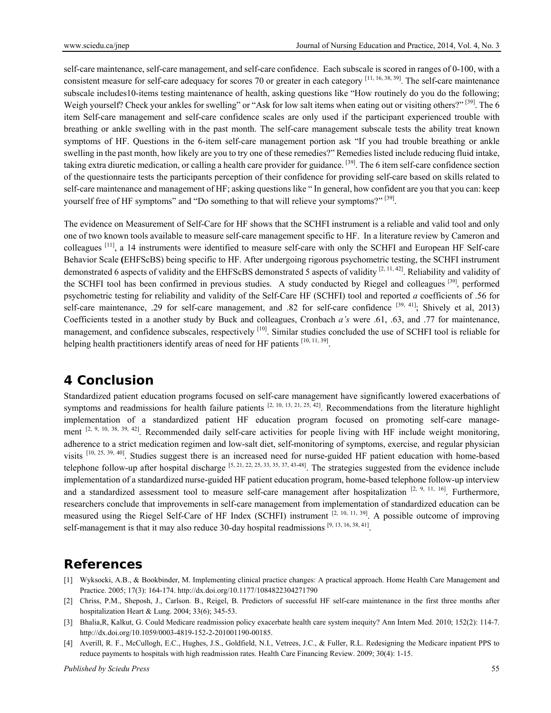self-care maintenance, self-care management, and self-care confidence. Each subscale is scored in ranges of 0-100, with a consistent measure for self-care adequacy for scores 70 or greater in each category  $[11, 16, 38, 39]$ . The self-care maintenance subscale includes10-items testing maintenance of health, asking questions like "How routinely do you do the following; Weigh yourself? Check your ankles for swelling" or "Ask for low salt items when eating out or visiting others?" [39]. The 6 item Self-care management and self-care confidence scales are only used if the participant experienced trouble with breathing or ankle swelling with in the past month. The self-care management subscale tests the ability treat known symptoms of HF. Questions in the 6-item self-care management portion ask "If you had trouble breathing or ankle swelling in the past month, how likely are you to try one of these remedies?" Remedies listed include reducing fluid intake, taking extra diuretic medication, or calling a health care provider for guidance. [39]. The 6 item self-care confidence section of the questionnaire tests the participants perception of their confidence for providing self-care based on skills related to self-care maintenance and management of HF; asking questions like " In general, how confident are you that you can: keep yourself free of HF symptoms" and "Do something to that will relieve your symptoms?" [39].

The evidence on Measurement of Self-Care for HF shows that the SCHFI instrument is a reliable and valid tool and only one of two known tools available to measure self-care management specific to HF. In a literature review by Cameron and colleagues [11], a 14 instruments were identified to measure self-care with only the SCHFI and European HF Self-care Behavior Scale **(**EHFScBS) being specific to HF. After undergoing rigorous psychometric testing, the SCHFI instrument demonstrated 6 aspects of validity and the EHFScBS demonstrated 5 aspects of validity  $[2, 11, 42]$ . Reliability and validity of the SCHFI tool has been confirmed in previous studies. A study conducted by Riegel and colleagues [39], performed psychometric testing for reliability and validity of the Self-Care HF (SCHFI) tool and reported *a* coefficients of .56 for self-care maintenance, .29 for self-care management, and .82 for self-care confidence [39, 41]; Shively et al, 2013) Coefficients tested in a another study by Buck and colleagues, Cronbach *a's* were .61, .63, and .77 for maintenance, management, and confidence subscales, respectively  $^{[10]}$ . Similar studies concluded the use of SCHFI tool is reliable for helping health practitioners identify areas of need for HF patients  $[10, 11, 39]$ .

# **4 Conclusion**

Standardized patient education programs focused on self-care management have significantly lowered exacerbations of symptoms and readmissions for health failure patients  $[2, 10, 13, 21, 25, 42]$ . Recommendations from the literature highlight implementation of a standardized patient HF education program focused on promoting self-care management <sup>[2, 9, 10, 38, 39, 42]</sup>. Recommended daily self-care activities for people living with HF include weight monitoring, adherence to a strict medication regimen and low-salt diet, self-monitoring of symptoms, exercise, and regular physician visits <sup>[10, 25, 39, 40]</sup>. Studies suggest there is an increased need for nurse-guided HF patient education with home-based telephone follow-up after hospital discharge  $[5, 21, 22, 25, 33, 35, 37, 43-48]$ . The strategies suggested from the evidence include implementation of a standardized nurse-guided HF patient education program, home-based telephone follow-up interview and a standardized assessment tool to measure self-care management after hospitalization  $[2, 9, 11, 16]$ . Furthermore, researchers conclude that improvements in self-care management from implementation of standardized education can be measured using the Riegel Self-Care of HF Index (SCHFI) instrument  $[2, 10, 11, 39]$ . A possible outcome of improving self-management is that it may also reduce 30-day hospital readmissions  $[9, 13, 16, 38, 41]$ .

# **References**

- [1] Wyksocki, A.B., & Bookbinder, M. Implementing clinical practice changes: A practical approach. Home Health Care Management and Practice. 2005; 17(3): 164-174. http://dx.doi.org/10.1177/1084822304271790
- [2] Chriss, P.M., Sheposh, J., Carlson. B., Reigel, B. Predictors of successful HF self-care maintenance in the first three months after hospitalization Heart & Lung. 2004; 33(6); 345-53.
- [3] Bhalia,R, Kalkut, G. Could Medicare readmission policy exacerbate health care system inequity? Ann Intern Med. 2010; 152(2): 114-7. http://dx.doi.org/10.1059/0003-4819-152-2-201001190-00185.
- [4] Averill, R. F., McCullogh, E.C., Hughes, J.S., Goldfield, N.I., Vetrees, J.C., & Fuller, R.L. Redesigning the Medicare inpatient PPS to reduce payments to hospitals with high readmission rates. Health Care Financing Review. 2009; 30(4): 1-15.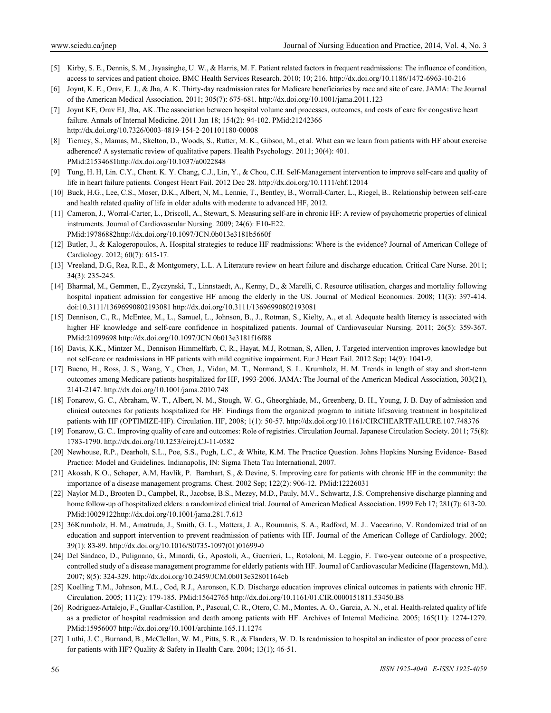- [5] Kirby, S. E., Dennis, S. M., Jayasinghe, U. W., & Harris, M. F. Patient related factors in frequent readmissions: The influence of condition, access to services and patient choice. BMC Health Services Research. 2010; 10; 216. http://dx.doi.org/10.1186/1472-6963-10-216
- [6] Joynt, K. E., Orav, E. J., & Jha, A. K. Thirty-day readmission rates for Medicare beneficiaries by race and site of care. JAMA: The Journal of the American Medical Association. 2011; 305(7): 675-681. http://dx.doi.org/10.1001/jama.2011.123
- [7] Joynt KE, Orav EJ, Jha, AK..The association between hospital volume and processes, outcomes, and costs of care for congestive heart failure. Annals of Internal Medicine. 2011 Jan 18; 154(2): 94-102. PMid:21242366 http://dx.doi.org/10.7326/0003-4819-154-2-201101180-00008
- [8] Tierney, S., Mamas, M., Skelton, D., Woods, S., Rutter, M. K., Gibson, M., et al. What can we learn from patients with HF about exercise adherence? A systematic review of qualitative papers. Health Psychology. 2011; 30(4): 401. PMid:21534681http://dx.doi.org/10.1037/a0022848
- [9] Tung, H. H, Lin. C.Y., Chent. K. Y. Chang, C.J., Lin, Y., & Chou, C.H. Self-Management intervention to improve self-care and quality of life in heart failure patients. Congest Heart Fail. 2012 Dec 28. http://dx.doi.org/10.1111/chf.12014
- [10] Buck, H.G., Lee, C.S., Moser, D.K., Albert, N, M., Lennie, T., Bentley, B., Worrall-Carter, L., Riegel, B.. Relationship between self-care and health related quality of life in older adults with moderate to advanced HF, 2012.
- [11] Cameron, J., Worral-Carter, L., Driscoll, A., Stewart, S. Measuring self-are in chronic HF: A review of psychometric properties of clinical instruments. Journal of Cardiovascular Nursing. 2009; 24(6): E10-E22. PMid:19786882http://dx.doi.org/10.1097/JCN.0b013e3181b5660f
- [12] Butler, J., & Kalogeropoulos, A. Hospital strategies to reduce HF readmissions: Where is the evidence? Journal of American College of Cardiology. 2012; 60(7): 615-17.
- [13] Vreeland, D.G, Rea, R.E., & Montgomery, L.L. A Literature review on heart failure and discharge education. Critical Care Nurse. 2011; 34(3): 235-245.
- [14] Bharmal, M., Gemmen, E., Zyczynski, T., Linnstaedt, A., Kenny, D., & Marelli, C. Resource utilisation, charges and mortality following hospital inpatient admission for congestive HF among the elderly in the US. Journal of Medical Economics. 2008; 11(3): 397-414. doi:10.3111/13696990802193081 http://dx.doi.org/10.3111/13696990802193081
- [15] Dennison, C., R., McEntee, M., L., Samuel, L., Johnson, B., J., Rotman, S., Kielty, A., et al. Adequate health literacy is associated with higher HF knowledge and self-care confidence in hospitalized patients. Journal of Cardiovascular Nursing. 2011; 26(5): 359-367. PMid:21099698 http://dx.doi.org/10.1097/JCN.0b013e3181f16f88
- [16] Davis, K.K., Mintzer M., Dennison Himmelfarb, C, R., Hayat, M.J, Rotman, S, Allen, J. Targeted intervention improves knowledge but not self-care or readmissions in HF patients with mild cognitive impairment. Eur J Heart Fail. 2012 Sep; 14(9): 1041-9.
- [17] Bueno, H., Ross, J. S., Wang, Y., Chen, J., Vidan, M. T., Normand, S. L. Krumholz, H. M. Trends in length of stay and short-term outcomes among Medicare patients hospitalized for HF, 1993-2006. JAMA: The Journal of the American Medical Association, 303(21), 2141-2147. http://dx.doi.org/10.1001/jama.2010.748
- [18] Fonarow, G. C., Abraham, W. T., Albert, N. M., Stough, W. G., Gheorghiade, M., Greenberg, B. H., Young, J. B. Day of admission and clinical outcomes for patients hospitalized for HF: Findings from the organized program to initiate lifesaving treatment in hospitalized patients with HF (OPTIMIZE-HF). Circulation. HF, 2008; 1(1): 50-57. http://dx.doi.org/10.1161/CIRCHEARTFAILURE.107.748376
- [19] Fonarow, G. C.. Improving quality of care and outcomes: Role of registries. Circulation Journal. Japanese Circulation Society. 2011; 75(8): 1783-1790. http://dx.doi.org/10.1253/circj.CJ-11-0582
- [20] Newhouse, R.P., Dearholt, S.L., Poe, S.S., Pugh, L.C., & White, K.M. The Practice Question. Johns Hopkins Nursing Evidence- Based Practice: Model and Guidelines. Indianapolis, IN: Sigma Theta Tau International, 2007.
- [21] Akosah, K.O., Schaper, A.M, Havlik, P. Barnhart, S., & Devine, S. Improving care for patients with chronic HF in the community: the importance of a disease management programs. Chest. 2002 Sep; 122(2): 906-12. PMid:12226031
- [22] Naylor M.D., Brooten D., Campbel, R., Jacobse, B.S., Mezey, M.D., Pauly, M.V., Schwartz, J.S. Comprehensive discharge planning and home follow-up of hospitalized elders: a randomized clinical trial. Journal of American Medical Association. 1999 Feb 17; 281(7): 613-20. PMid:10029122http://dx.doi.org/10.1001/jama.281.7.613
- [23] 36Krumholz, H. M., Amatruda, J., Smith, G. L., Mattera, J. A., Roumanis, S. A., Radford, M. J.. Vaccarino, V. Randomized trial of an education and support intervention to prevent readmission of patients with HF. Journal of the American College of Cardiology. 2002; 39(1): 83-89. http://dx.doi.org/10.1016/S0735-1097(01)01699-0
- [24] Del Sindaco, D., Pulignano, G., Minardi, G., Apostoli, A., Guerrieri, L., Rotoloni, M. Leggio, F. Two-year outcome of a prospective, controlled study of a disease management programme for elderly patients with HF. Journal of Cardiovascular Medicine (Hagerstown, Md.). 2007; 8(5): 324-329. http://dx.doi.org/10.2459/JCM.0b013e32801164cb
- [25] Koelling T.M., Johnson, M.L., Cod, R.J., Aaronson, K.D. Discharge education improves clinical outcomes in patients with chronic HF. Circulation. 2005; 111(2): 179-185. PMid:15642765 http://dx.doi.org/10.1161/01.CIR.0000151811.53450.B8
- [26] Rodriguez-Artalejo, F., Guallar-Castillon, P., Pascual, C. R., Otero, C. M., Montes, A. O., Garcia, A. N., et al. Health-related quality of life as a predictor of hospital readmission and death among patients with HF. Archives of Internal Medicine. 2005; 165(11): 1274-1279. PMid:15956007 http://dx.doi.org/10.1001/archinte.165.11.1274
- [27] Luthi, J. C., Burnand, B., McClellan, W. M., Pitts, S. R., & Flanders, W. D. Is readmission to hospital an indicator of poor process of care for patients with HF? Quality & Safety in Health Care. 2004; 13(1); 46-51.